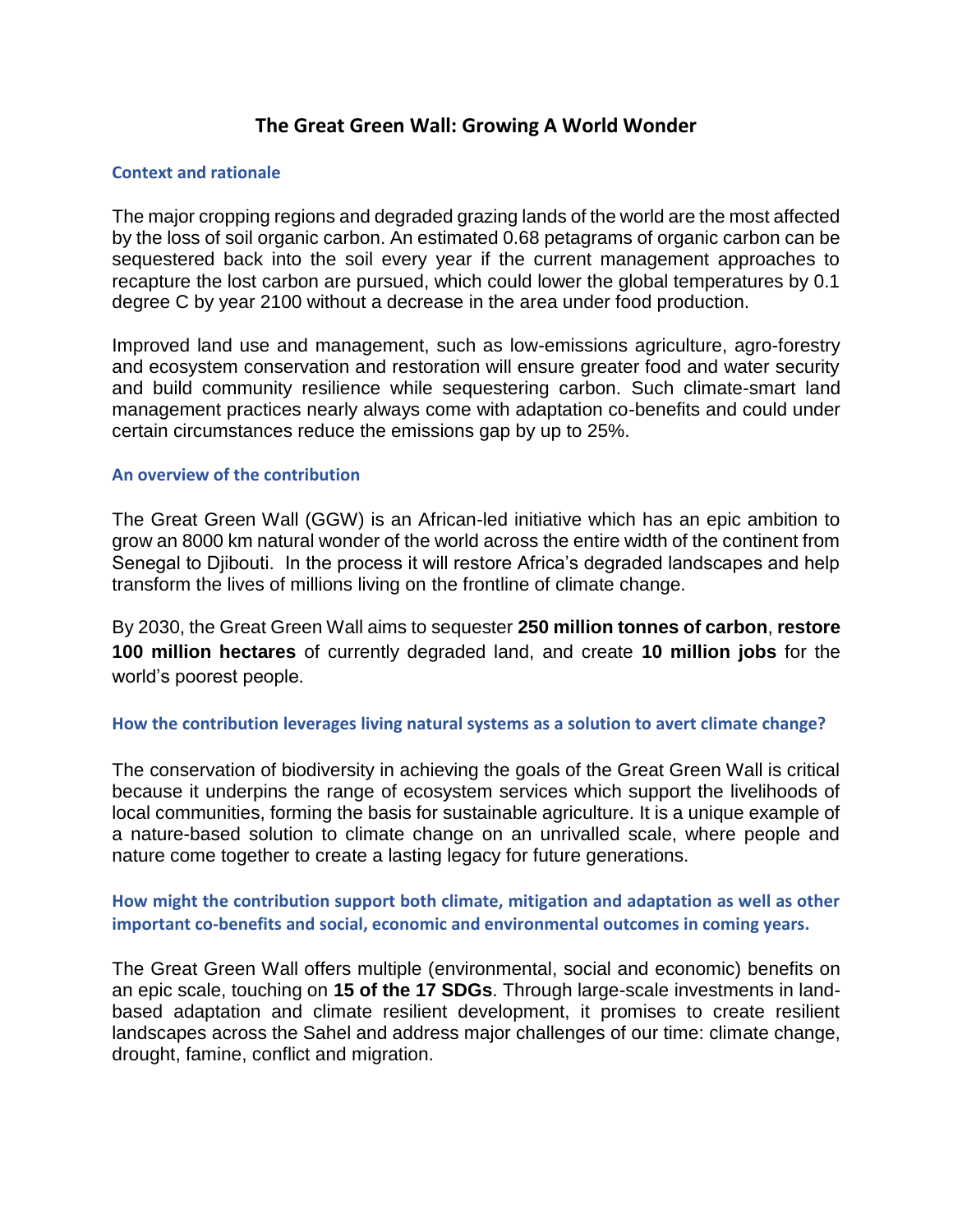# **The Great Green Wall: Growing A World Wonder**

### **Context and rationale**

The major cropping regions and degraded grazing lands of the world are the most affected by the loss of soil organic carbon. An estimated 0.68 petagrams of organic carbon can be sequestered back into the soil every year if the current management approaches to recapture the lost carbon are pursued, which could lower the global temperatures by 0.1 degree C by year 2100 without a decrease in the area under food production.

Improved land use and management, such as low-emissions agriculture, agro-forestry and ecosystem conservation and restoration will ensure greater food and water security and build community resilience while sequestering carbon. Such climate-smart land management practices nearly always come with adaptation co-benefits and could under certain circumstances reduce the emissions gap by up to 25%.

#### **An overview of the contribution**

The Great Green Wall (GGW) is an African-led initiative which has an epic ambition to grow an 8000 km natural wonder of the world across the entire width of the continent from Senegal to Djibouti. In the process it will restore Africa's degraded landscapes and help transform the lives of millions living on the frontline of climate change.

By 2030, the Great Green Wall aims to sequester **250 million tonnes of carbon**, **restore 100 million hectares** of currently degraded land, and create **10 million jobs** for the world's poorest people.

### **How the contribution leverages living natural systems as a solution to avert climate change?**

The conservation of biodiversity in achieving the goals of the Great Green Wall is critical because it underpins the range of ecosystem services which support the livelihoods of local communities, forming the basis for sustainable agriculture. It is a unique example of a nature-based solution to climate change on an unrivalled scale, where people and nature come together to create a lasting legacy for future generations.

### **How might the contribution support both climate, mitigation and adaptation as well as other important co-benefits and social, economic and environmental outcomes in coming years.**

The Great Green Wall offers multiple (environmental, social and economic) benefits on an epic scale, touching on **15 of the 17 SDGs**. Through large-scale investments in landbased adaptation and climate resilient development, it promises to create resilient landscapes across the Sahel and address major challenges of our time: climate change, drought, famine, conflict and migration.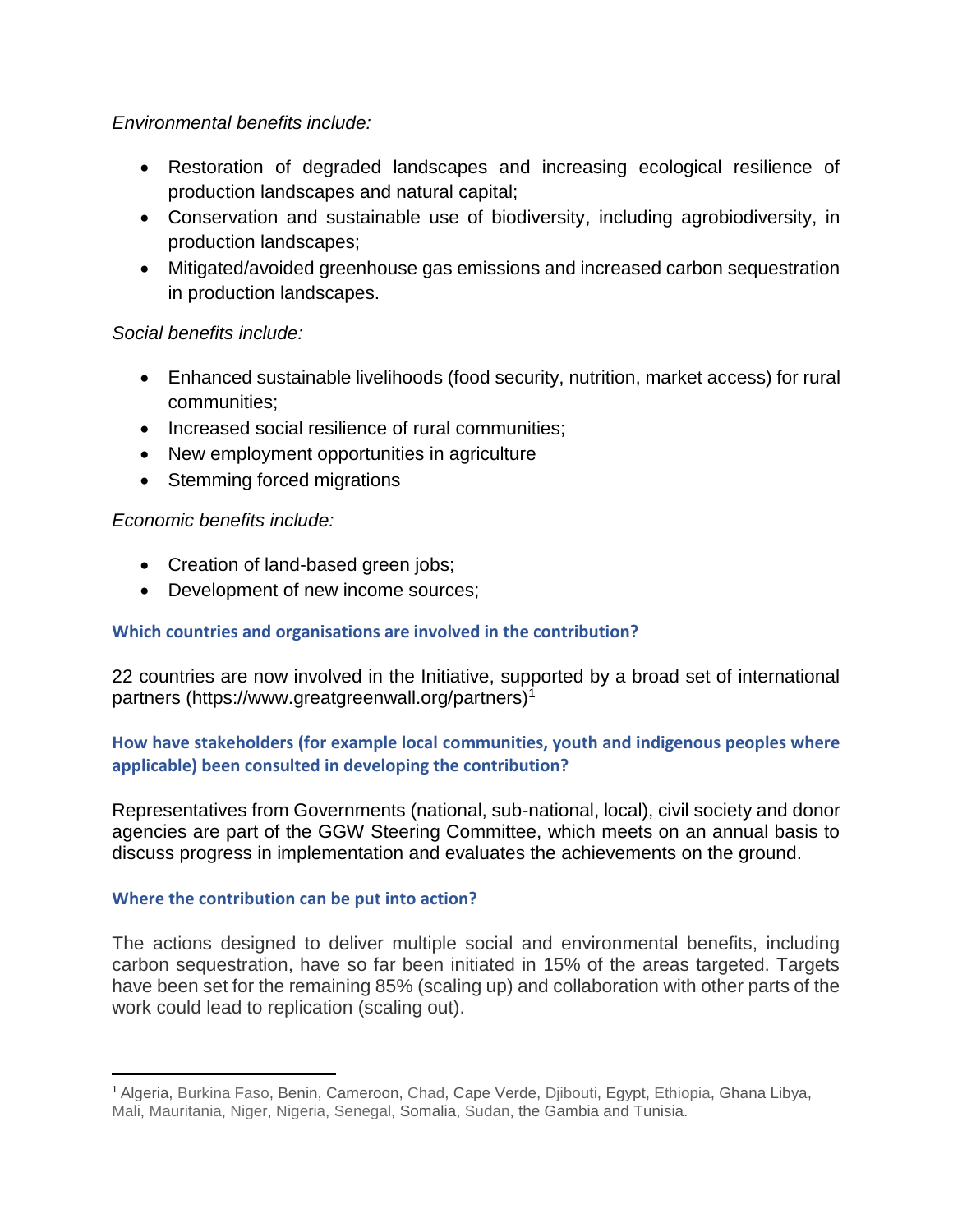# *Environmental benefits include:*

- Restoration of degraded landscapes and increasing ecological resilience of production landscapes and natural capital;
- Conservation and sustainable use of biodiversity, including agrobiodiversity, in production landscapes;
- Mitigated/avoided greenhouse gas emissions and increased carbon sequestration in production landscapes.

## *Social benefits include:*

- Enhanced sustainable livelihoods (food security, nutrition, market access) for rural communities;
- Increased social resilience of rural communities;
- New employment opportunities in agriculture
- Stemming forced migrations

## *Economic benefits include:*

- Creation of land-based green jobs;
- Development of new income sources;

# **Which countries and organisations are involved in the contribution?**

22 countries are now involved in the Initiative, supported by a broad set of international partners (https://www.greatgreenwall.org/partners)<sup>1</sup>

## **How have stakeholders (for example local communities, youth and indigenous peoples where applicable) been consulted in developing the contribution?**

Representatives from Governments (national, sub-national, local), civil society and donor agencies are part of the GGW Steering Committee, which meets on an annual basis to discuss progress in implementation and evaluates the achievements on the ground.

### **Where the contribution can be put into action?**

The actions designed to deliver multiple social and environmental benefits, including carbon sequestration, have so far been initiated in 15% of the areas targeted. Targets have been set for the remaining 85% (scaling up) and collaboration with other parts of the work could lead to replication (scaling out).

 $\overline{a}$ <sup>1</sup> Algeria, Burkina Faso, Benin, Cameroon, Chad, Cape Verde, Djibouti, Egypt, Ethiopia, Ghana Libya, Mali, Mauritania, Niger, Nigeria, Senegal, Somalia, Sudan, the Gambia and Tunisia.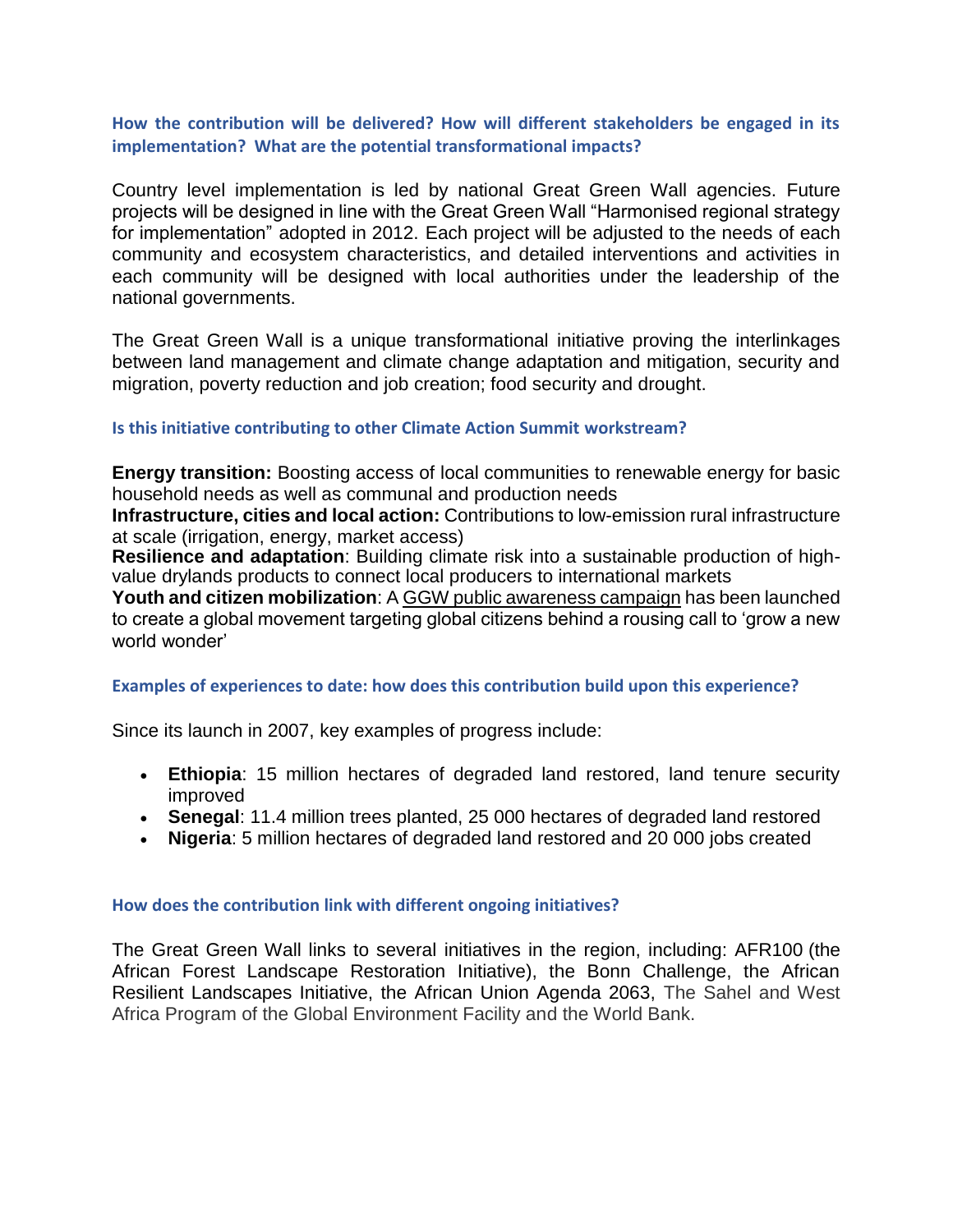### **How the contribution will be delivered? How will different stakeholders be engaged in its implementation? What are the potential transformational impacts?**

Country level implementation is led by national Great Green Wall agencies. Future projects will be designed in line with the Great Green Wall "Harmonised regional strategy for implementation" adopted in 2012. Each project will be adjusted to the needs of each community and ecosystem characteristics, and detailed interventions and activities in each community will be designed with local authorities under the leadership of the national governments.

The Great Green Wall is a unique transformational initiative proving the interlinkages between land management and climate change adaptation and mitigation, security and migration, poverty reduction and job creation; food security and drought.

### **Is this initiative contributing to other Climate Action Summit workstream?**

**Energy transition:** Boosting access of local communities to renewable energy for basic household needs as well as communal and production needs

**Infrastructure, cities and local action:** Contributions to low-emission rural infrastructure at scale (irrigation, energy, market access)

**Resilience and adaptation**: Building climate risk into a sustainable production of highvalue drylands products to connect local producers to international markets

**Youth and citizen mobilization**: [A GGW public awareness campaign](http://www.greatgreenwall.org/) has been launched to create a global movement targeting global citizens behind a rousing call to 'grow a new world wonder'

### **Examples of experiences to date: how does this contribution build upon this experience?**

Since its launch in 2007, key examples of progress include:

- **Ethiopia**: 15 million hectares of degraded land restored, land tenure security improved
- **Senegal**: 11.4 million trees planted, 25 000 hectares of degraded land restored
- **Nigeria**: 5 million hectares of degraded land restored and 20 000 jobs created

### **How does the contribution link with different ongoing initiatives?**

The Great Green Wall links to several initiatives in the region, including: AFR100 (the African Forest Landscape Restoration Initiative), the Bonn Challenge, the African Resilient Landscapes Initiative, the African Union Agenda 2063, The Sahel and West Africa Program of the Global Environment Facility and the World Bank.